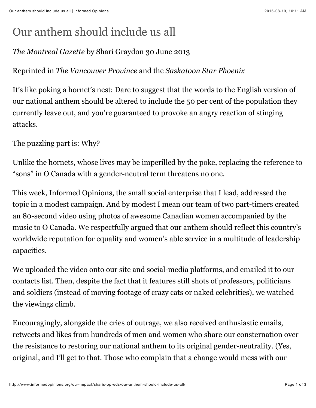## Our anthem should include us all

## *The Montreal Gazette* by Shari Graydon 30 June 2013

## Reprinted in *The Vancouver Province* and the *Saskatoon Star Phoenix*

It's like poking a hornet's nest: Dare to suggest that the words to the English version of our national anthem should be altered to include the 50 per cent of the population they currently leave out, and you're guaranteed to provoke an angry reaction of stinging attacks.

The puzzling part is: Why?

Unlike the hornets, whose lives may be imperilled by the poke, replacing the reference to "sons" in O Canada with a gender-neutral term threatens no one.

This week, Informed Opinions, the small social enterprise that I lead, addressed the topic in a modest campaign. And by modest I mean our team of two part-timers created an 80-second video using photos of awesome Canadian women accompanied by the music to O Canada. We respectfully argued that our anthem should reflect this country's worldwide reputation for equality and women's able service in a multitude of leadership capacities.

We uploaded the video onto our site and social-media platforms, and emailed it to our contacts list. Then, despite the fact that it features still shots of professors, politicians and soldiers (instead of moving footage of crazy cats or naked celebrities), we watched the viewings climb.

Encouragingly, alongside the cries of outrage, we also received enthusiastic emails, retweets and likes from hundreds of men and women who share our consternation over the resistance to restoring our national anthem to its original gender-neutrality. (Yes, original, and I'll get to that. Those who complain that a change would mess with our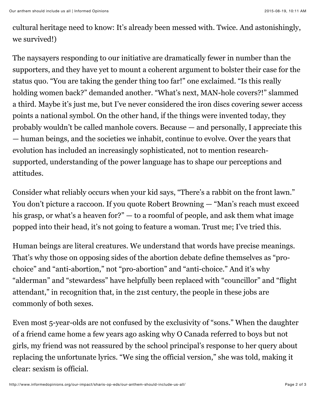cultural heritage need to know: It's already been messed with. Twice. And astonishingly, we survived!)

The naysayers responding to our initiative are dramatically fewer in number than the supporters, and they have yet to mount a coherent argument to bolster their case for the status quo. "You are taking the gender thing too far!" one exclaimed. "Is this really holding women back?" demanded another. "What's next, MAN-hole covers?!" slammed a third. Maybe it's just me, but I've never considered the iron discs covering sewer access points a national symbol. On the other hand, if the things were invented today, they probably wouldn't be called manhole covers. Because — and personally, I appreciate this — human beings, and the societies we inhabit, continue to evolve. Over the years that evolution has included an increasingly sophisticated, not to mention researchsupported, understanding of the power language has to shape our perceptions and attitudes.

Consider what reliably occurs when your kid says, "There's a rabbit on the front lawn." You don't picture a raccoon. If you quote Robert Browning — "Man's reach must exceed his grasp, or what's a heaven for?" — to a roomful of people, and ask them what image popped into their head, it's not going to feature a woman. Trust me; I've tried this.

Human beings are literal creatures. We understand that words have precise meanings. That's why those on opposing sides of the abortion debate define themselves as "prochoice" and "anti-abortion," not "pro-abortion" and "anti-choice." And it's why "alderman" and "stewardess" have helpfully been replaced with "councillor" and "flight attendant," in recognition that, in the 21st century, the people in these jobs are commonly of both sexes.

Even most 5-year-olds are not confused by the exclusivity of "sons." When the daughter of a friend came home a few years ago asking why O Canada referred to boys but not girls, my friend was not reassured by the school principal's response to her query about replacing the unfortunate lyrics. "We sing the official version," she was told, making it clear: sexism is official.